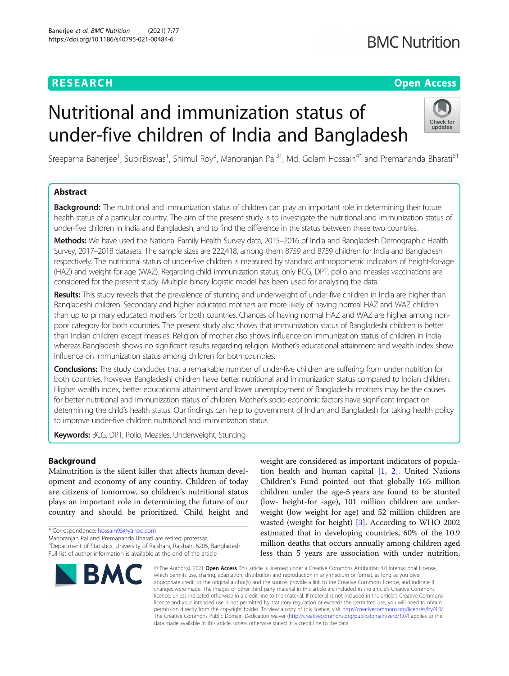## **RESEARCH CHEAR CHEAR CHEAR CHEAR CHEAR CHEAR CHEAR CHEAR CHEAR CHEAR CHEAR CHEAR CHEAR CHEAR CHEAR CHEAR CHEAR**

# **BMC Nutrition**

# Nutritional and immunization status of under-five children of India and Bangladesh



Sreeparna Banerjee<sup>1</sup>, SubirBiswas<sup>1</sup>, Shimul Roy<sup>2</sup>, Manoranjan Pal<sup>3†</sup>, Md. Golam Hossain<sup>4\*</sup> and Premananda Bharati<sup>5†</sup>

## Abstract

Background: The nutritional and immunization status of children can play an important role in determining their future health status of a particular country. The aim of the present study is to investigate the nutritional and immunization status of under-five children in India and Bangladesh, and to find the difference in the status between these two countries.

Methods: We have used the National Family Health Survey data, 2015–2016 of India and Bangladesh Demographic Health Survey, 2017–2018 datasets. The sample sizes are 222,418, among them 8759 and 8759 children for India and Bangladesh respectively. The nutritional status of under-five children is measured by standard anthropometric indicators of height-for-age (HAZ) and weight-for-age (WAZ). Regarding child immunization status, only BCG, DPT, polio and measles vaccinations are considered for the present study. Multiple binary logistic model has been used for analysing the data.

Results: This study reveals that the prevalence of stunting and underweight of under-five children in India are higher than Bangladeshi children. Secondary and higher educated mothers are more likely of having normal HAZ and WAZ children than up to primary educated mothers for both countries. Chances of having normal HAZ and WAZ are higher among nonpoor category for both countries. The present study also shows that immunization status of Bangladeshi children is better than Indian children except measles. Religion of mother also shows influence on immunization status of children in India whereas Bangladesh shows no significant results regarding religion. Mother's educational attainment and wealth index show influence on immunization status among children for both countries.

Conclusions: The study concludes that a remarkable number of under-five children are suffering from under nutrition for both countries, however Bangladeshi children have better nutritional and immunization status compared to Indian children. Higher wealth index, better educational attainment and lower unemployment of Bangladeshi mothers may be the causes for better nutritional and immunization status of children. Mother's socio-economic factors have significant impact on determining the child's health status. Our findings can help to government of Indian and Bangladesh for taking health policy to improve under-five children nutritional and immunization status.

Keywords: BCG, DPT, Polio, Measles, Underweight, Stunting

## Background

Malnutrition is the silent killer that affects human development and economy of any country. Children of today are citizens of tomorrow, so children's nutritional status plays an important role in determining the future of our country and should be prioritized. Child height and

\* Correspondence: [hossain95@yahoo.com](mailto:hossain95@yahoo.com)

Manoranjan Pal and Premananda Bharati are retired professor.

4 Department of Statistics, University of Rajshahi, Rajshahi 6205, Bangladesh Full list of author information is available at the end of the article



weight are considered as important indicators of population health and human capital [[1,](#page-9-0) [2](#page-9-0)]. United Nations Children's Fund pointed out that globally 165 million children under the age-5 years are found to be stunted (low- height-for -age), 101 million children are underweight (low weight for age) and 52 million children are wasted (weight for height) [[3](#page-9-0)]. According to WHO 2002 estimated that in developing countries, 60% of the 10.9 million deaths that occurs annually among children aged less than 5 years are association with under nutrition,

© The Author(s), 2021 **Open Access** This article is licensed under a Creative Commons Attribution 4.0 International License, which permits use, sharing, adaptation, distribution and reproduction in any medium or format, as long as you give appropriate credit to the original author(s) and the source, provide a link to the Creative Commons licence, and indicate if changes were made. The images or other third party material in this article are included in the article's Creative Commons licence, unless indicated otherwise in a credit line to the material. If material is not included in the article's Creative Commons licence and your intended use is not permitted by statutory regulation or exceeds the permitted use, you will need to obtain permission directly from the copyright holder. To view a copy of this licence, visit [http://creativecommons.org/licenses/by/4.0/.](http://creativecommons.org/licenses/by/4.0/) The Creative Commons Public Domain Dedication waiver [\(http://creativecommons.org/publicdomain/zero/1.0/](http://creativecommons.org/publicdomain/zero/1.0/)) applies to the data made available in this article, unless otherwise stated in a credit line to the data.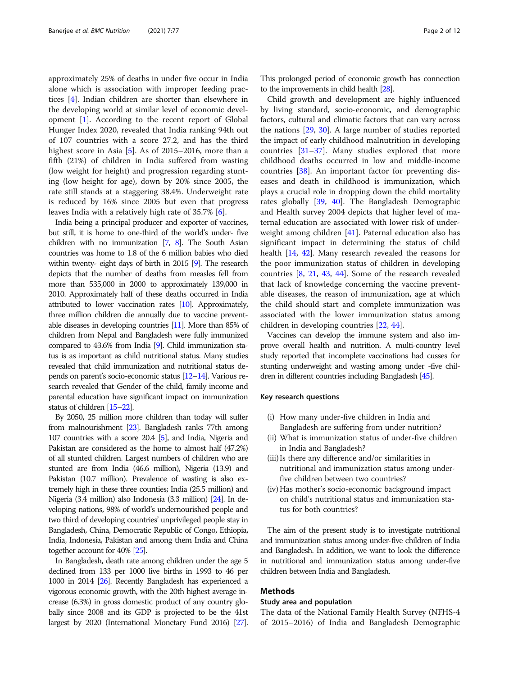approximately 25% of deaths in under five occur in India alone which is association with improper feeding practices [\[4](#page-9-0)]. Indian children are shorter than elsewhere in the developing world at similar level of economic development [\[1](#page-9-0)]. According to the recent report of Global Hunger Index 2020, revealed that India ranking 94th out of 107 countries with a score 27.2, and has the third highest score in Asia [[5\]](#page-9-0). As of 2015–2016, more than a fifth (21%) of children in India suffered from wasting (low weight for height) and progression regarding stunting (low height for age), down by 20% since 2005, the rate still stands at a staggering 38.4%. Underweight rate is reduced by 16% since 2005 but even that progress leaves India with a relatively high rate of 35.7% [\[6](#page-9-0)].

India being a principal producer and exporter of vaccines, but still, it is home to one-third of the world's under- five children with no immunization [\[7,](#page-9-0) [8\]](#page-9-0). The South Asian countries was home to 1.8 of the 6 million babies who died within twenty- eight days of birth in 2015 [\[9\]](#page-9-0). The research depicts that the number of deaths from measles fell from more than 535,000 in 2000 to approximately 139,000 in 2010. Approximately half of these deaths occurred in India attributed to lower vaccination rates [\[10\]](#page-9-0). Approximately, three million children die annually due to vaccine preventable diseases in developing countries [\[11](#page-9-0)]. More than 85% of children from Nepal and Bangladesh were fully immunized compared to 43.6% from India [[9](#page-9-0)]. Child immunization status is as important as child nutritional status. Many studies revealed that child immunization and nutritional status depends on parent's socio-economic status [\[12](#page-9-0)–[14](#page-9-0)]. Various research revealed that Gender of the child, family income and parental education have significant impact on immunization status of children [\[15](#page-10-0)–[22\]](#page-10-0).

By 2050, 25 million more children than today will suffer from malnourishment [[23\]](#page-10-0). Bangladesh ranks 77th among 107 countries with a score 20.4 [\[5\]](#page-9-0), and India, Nigeria and Pakistan are considered as the home to almost half (47.2%) of all stunted children. Largest numbers of children who are stunted are from India (46.6 million), Nigeria (13.9) and Pakistan (10.7 million). Prevalence of wasting is also extremely high in these three counties; India (25.5 million) and Nigeria (3.4 million) also Indonesia (3.3 million) [\[24\]](#page-10-0). In developing nations, 98% of world's undernourished people and two third of developing countries' unprivileged people stay in Bangladesh, China, Democratic Republic of Congo, Ethiopia, India, Indonesia, Pakistan and among them India and China together account for 40% [\[25\]](#page-10-0).

In Bangladesh, death rate among children under the age 5 declined from 133 per 1000 live births in 1993 to 46 per 1000 in 2014 [\[26](#page-10-0)]. Recently Bangladesh has experienced a vigorous economic growth, with the 20th highest average increase (6.3%) in gross domestic product of any country globally since 2008 and its GDP is projected to be the 41st largest by 2020 (International Monetary Fund 2016) [\[27\]](#page-10-0).

This prolonged period of economic growth has connection to the improvements in child health [\[28\]](#page-10-0).

Child growth and development are highly influenced by living standard, socio-economic, and demographic factors, cultural and climatic factors that can vary across the nations [[29](#page-10-0), [30\]](#page-10-0). A large number of studies reported the impact of early childhood malnutrition in developing countries [[31](#page-10-0)–[37\]](#page-10-0). Many studies explored that more childhood deaths occurred in low and middle-income countries [\[38\]](#page-10-0). An important factor for preventing diseases and death in childhood is immunization, which plays a crucial role in dropping down the child mortality rates globally [\[39](#page-10-0), [40](#page-10-0)]. The Bangladesh Demographic and Health survey 2004 depicts that higher level of maternal education are associated with lower risk of underweight among children [[41](#page-10-0)]. Paternal education also has significant impact in determining the status of child health [\[14,](#page-9-0) [42\]](#page-10-0). Many research revealed the reasons for the poor immunization status of children in developing countries [[8,](#page-9-0) [21](#page-10-0), [43](#page-10-0), [44](#page-10-0)]. Some of the research revealed that lack of knowledge concerning the vaccine preventable diseases, the reason of immunization, age at which the child should start and complete immunization was associated with the lower immunization status among children in developing countries [\[22,](#page-10-0) [44\]](#page-10-0).

Vaccines can develop the immune system and also improve overall health and nutrition. A multi-country level study reported that incomplete vaccinations had cusses for stunting underweight and wasting among under -five children in different countries including Bangladesh [\[45](#page-10-0)].

## Key research questions

- (i) How many under-five children in India and Bangladesh are suffering from under nutrition?
- (ii) What is immunization status of under-five children in India and Bangladesh?
- (iii) Is there any difference and/or similarities in nutritional and immunization status among underfive children between two countries?
- (iv) Has mother's socio-economic background impact on child's nutritional status and immunization status for both countries?

The aim of the present study is to investigate nutritional and immunization status among under-five children of India and Bangladesh. In addition, we want to look the difference in nutritional and immunization status among under-five children between India and Bangladesh.

## Methods

## Study area and population

The data of the National Family Health Survey (NFHS-4 of 2015–2016) of India and Bangladesh Demographic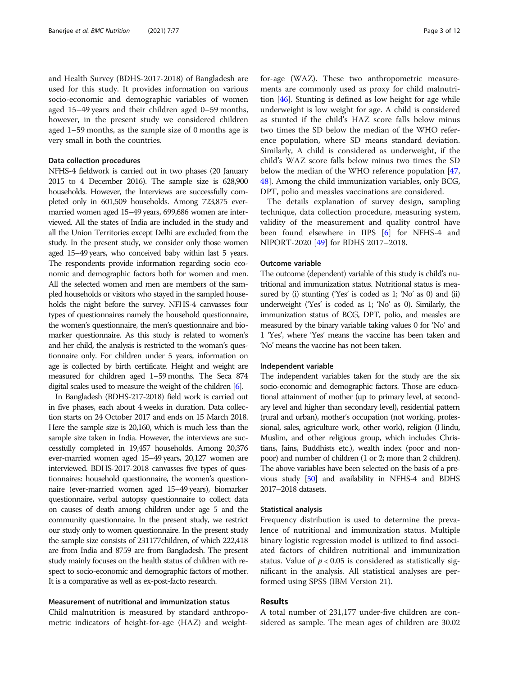and Health Survey (BDHS-2017-2018) of Bangladesh are used for this study. It provides information on various socio-economic and demographic variables of women aged 15–49 years and their children aged 0–59 months, however, in the present study we considered children aged 1–59 months, as the sample size of 0 months age is very small in both the countries.

## Data collection procedures

NFHS-4 fieldwork is carried out in two phases (20 January 2015 to 4 December 2016). The sample size is 628,900 households. However, the Interviews are successfully completed only in 601,509 households. Among 723,875 evermarried women aged 15–49 years, 699,686 women are interviewed. All the states of India are included in the study and all the Union Territories except Delhi are excluded from the study. In the present study, we consider only those women aged 15–49 years, who conceived baby within last 5 years. The respondents provide information regarding socio economic and demographic factors both for women and men. All the selected women and men are members of the sampled households or visitors who stayed in the sampled households the night before the survey. NFHS-4 canvasses four types of questionnaires namely the household questionnaire, the women's questionnaire, the men's questionnaire and biomarker questionnaire. As this study is related to women's and her child, the analysis is restricted to the woman's questionnaire only. For children under 5 years, information on age is collected by birth certificate. Height and weight are measured for children aged 1–59 months. The Seca 874 digital scales used to measure the weight of the children [[6](#page-9-0)].

In Bangladesh (BDHS-217-2018) field work is carried out in five phases, each about 4 weeks in duration. Data collection starts on 24 October 2017 and ends on 15 March 2018. Here the sample size is 20,160, which is much less than the sample size taken in India. However, the interviews are successfully completed in 19,457 households. Among 20,376 ever-married women aged 15–49 years, 20,127 women are interviewed. BDHS-2017-2018 canvasses five types of questionnaires: household questionnaire, the women's questionnaire (ever-married women aged 15–49 years), biomarker questionnaire, verbal autopsy questionnaire to collect data on causes of death among children under age 5 and the community questionnaire. In the present study, we restrict our study only to women questionnaire. In the present study the sample size consists of 231177children, of which 222,418 are from India and 8759 are from Bangladesh. The present study mainly focuses on the health status of children with respect to socio-economic and demographic factors of mother. It is a comparative as well as ex-post-facto research.

## Measurement of nutritional and immunization status

Child malnutrition is measured by standard anthropometric indicators of height-for-age (HAZ) and weightfor-age (WAZ). These two anthropometric measurements are commonly used as proxy for child malnutrition [\[46](#page-10-0)]. Stunting is defined as low height for age while underweight is low weight for age. A child is considered as stunted if the child's HAZ score falls below minus two times the SD below the median of the WHO reference population, where SD means standard deviation. Similarly, A child is considered as underweight, if the child's WAZ score falls below minus two times the SD below the median of the WHO reference population [[47](#page-10-0), [48\]](#page-10-0). Among the child immunization variables, only BCG, DPT, polio and measles vaccinations are considered.

The details explanation of survey design, sampling technique, data collection procedure, measuring system, validity of the measurement and quality control have been found elsewhere in IIPS [[6\]](#page-9-0) for NFHS-4 and NIPORT-2020 [[49](#page-10-0)] for BDHS 2017–2018.

## Outcome variable

The outcome (dependent) variable of this study is child's nutritional and immunization status. Nutritional status is measured by (i) stunting ('Yes' is coded as 1; 'No' as 0) and (ii) underweight ('Yes' is coded as 1; 'No' as 0). Similarly, the immunization status of BCG, DPT, polio, and measles are measured by the binary variable taking values 0 for 'No' and 1 'Yes', where 'Yes' means the vaccine has been taken and 'No' means the vaccine has not been taken.

### Independent variable

The independent variables taken for the study are the six socio-economic and demographic factors. Those are educational attainment of mother (up to primary level, at secondary level and higher than secondary level), residential pattern (rural and urban), mother's occupation (not working, professional, sales, agriculture work, other work), religion (Hindu, Muslim, and other religious group, which includes Christians, Jains, Buddhists etc.), wealth index (poor and nonpoor) and number of children (1 or 2; more than 2 children). The above variables have been selected on the basis of a previous study [\[50\]](#page-10-0) and availability in NFHS-4 and BDHS 2017–2018 datasets.

## Statistical analysis

Frequency distribution is used to determine the prevalence of nutritional and immunization status. Multiple binary logistic regression model is utilized to find associated factors of children nutritional and immunization status. Value of  $p < 0.05$  is considered as statistically significant in the analysis. All statistical analyses are performed using SPSS (IBM Version 21).

## Results

A total number of 231,177 under-five children are considered as sample. The mean ages of children are 30.02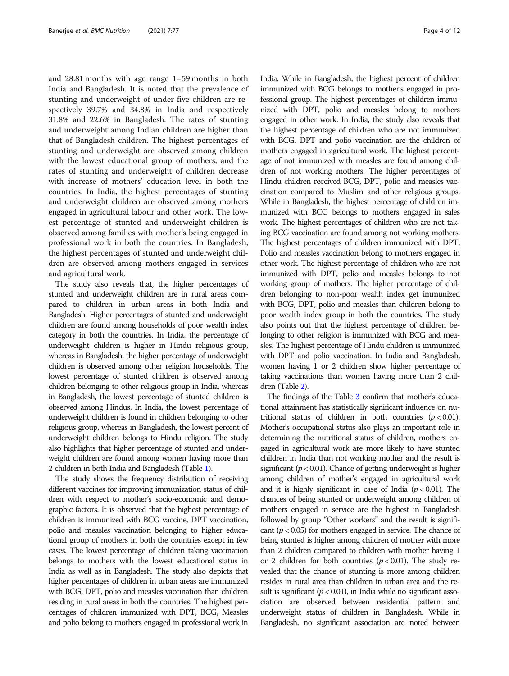and 28.81 months with age range 1–59 months in both India and Bangladesh. It is noted that the prevalence of stunting and underweight of under-five children are respectively 39.7% and 34.8% in India and respectively 31.8% and 22.6% in Bangladesh. The rates of stunting and underweight among Indian children are higher than that of Bangladesh children. The highest percentages of stunting and underweight are observed among children with the lowest educational group of mothers, and the rates of stunting and underweight of children decrease with increase of mothers' education level in both the countries. In India, the highest percentages of stunting and underweight children are observed among mothers engaged in agricultural labour and other work. The lowest percentage of stunted and underweight children is observed among families with mother's being engaged in professional work in both the countries. In Bangladesh, the highest percentages of stunted and underweight children are observed among mothers engaged in services and agricultural work.

The study also reveals that, the higher percentages of stunted and underweight children are in rural areas compared to children in urban areas in both India and Bangladesh. Higher percentages of stunted and underweight children are found among households of poor wealth index category in both the countries. In India, the percentage of underweight children is higher in Hindu religious group, whereas in Bangladesh, the higher percentage of underweight children is observed among other religion households. The lowest percentage of stunted children is observed among children belonging to other religious group in India, whereas in Bangladesh, the lowest percentage of stunted children is observed among Hindus. In India, the lowest percentage of underweight children is found in children belonging to other religious group, whereas in Bangladesh, the lowest percent of underweight children belongs to Hindu religion. The study also highlights that higher percentage of stunted and underweight children are found among women having more than 2 children in both India and Bangladesh (Table [1](#page-4-0)).

The study shows the frequency distribution of receiving different vaccines for improving immunization status of children with respect to mother's socio-economic and demographic factors. It is observed that the highest percentage of children is immunized with BCG vaccine, DPT vaccination, polio and measles vaccination belonging to higher educational group of mothers in both the countries except in few cases. The lowest percentage of children taking vaccination belongs to mothers with the lowest educational status in India as well as in Bangladesh. The study also depicts that higher percentages of children in urban areas are immunized with BCG, DPT, polio and measles vaccination than children residing in rural areas in both the countries. The highest percentages of children immunized with DPT, BCG, Measles and polio belong to mothers engaged in professional work in

India. While in Bangladesh, the highest percent of children immunized with BCG belongs to mother's engaged in professional group. The highest percentages of children immunized with DPT, polio and measles belong to mothers engaged in other work. In India, the study also reveals that the highest percentage of children who are not immunized with BCG, DPT and polio vaccination are the children of mothers engaged in agricultural work. The highest percentage of not immunized with measles are found among children of not working mothers. The higher percentages of Hindu children received BCG, DPT, polio and measles vaccination compared to Muslim and other religious groups. While in Bangladesh, the highest percentage of children immunized with BCG belongs to mothers engaged in sales work. The highest percentages of children who are not taking BCG vaccination are found among not working mothers. The highest percentages of children immunized with DPT, Polio and measles vaccination belong to mothers engaged in other work. The highest percentage of children who are not immunized with DPT, polio and measles belongs to not working group of mothers. The higher percentage of children belonging to non-poor wealth index get immunized with BCG, DPT, polio and measles than children belong to poor wealth index group in both the countries. The study also points out that the highest percentage of children belonging to other religion is immunized with BCG and measles. The highest percentage of Hindu children is immunized with DPT and polio vaccination. In India and Bangladesh, women having 1 or 2 children show higher percentage of taking vaccinations than women having more than 2 children (Table [2\)](#page-5-0).

The findings of the Table [3](#page-6-0) confirm that mother's educational attainment has statistically significant influence on nutritional status of children in both countries  $(p < 0.01)$ . Mother's occupational status also plays an important role in determining the nutritional status of children, mothers engaged in agricultural work are more likely to have stunted children in India than not working mother and the result is significant ( $p < 0.01$ ). Chance of getting underweight is higher among children of mother's engaged in agricultural work and it is highly significant in case of India ( $p < 0.01$ ). The chances of being stunted or underweight among children of mothers engaged in service are the highest in Bangladesh followed by group "Other workers" and the result is significant ( $p < 0.05$ ) for mothers engaged in service. The chance of being stunted is higher among children of mother with more than 2 children compared to children with mother having 1 or 2 children for both countries ( $p < 0.01$ ). The study revealed that the chance of stunting is more among children resides in rural area than children in urban area and the result is significant ( $p < 0.01$ ), in India while no significant association are observed between residential pattern and underweight status of children in Bangladesh. While in Bangladesh, no significant association are noted between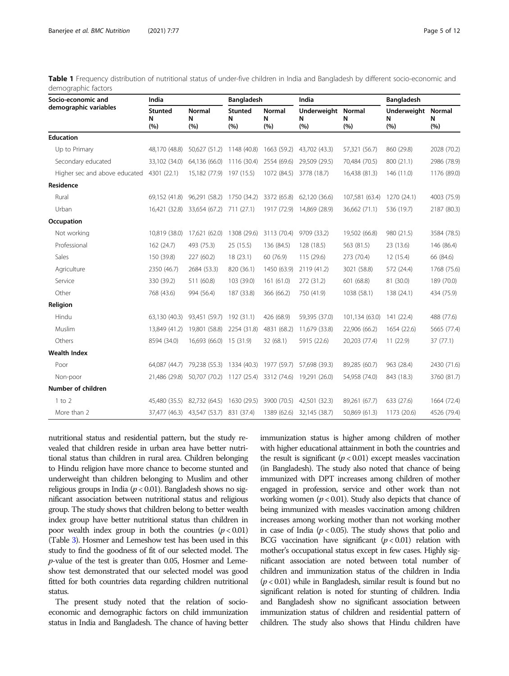| Socio-economic and            | India                      |                           | <b>Bangladesh</b>          |                           | India                          |                | <b>Bangladesh</b>              |             |
|-------------------------------|----------------------------|---------------------------|----------------------------|---------------------------|--------------------------------|----------------|--------------------------------|-------------|
| demographic variables         | <b>Stunted</b><br>N<br>(%) | <b>Normal</b><br>N<br>(%) | <b>Stunted</b><br>N<br>(%) | <b>Normal</b><br>N<br>(%) | Underweight Normal<br>N<br>(%) | N<br>(%)       | Underweight Normal<br>N<br>(%) | N<br>(%)    |
| <b>Education</b>              |                            |                           |                            |                           |                                |                |                                |             |
| Up to Primary                 | 48,170 (48.8)              | 50,627 (51.2)             | 1148 (40.8)                | 1663 (59.2)               | 43,702 (43.3)                  | 57,321 (56.7)  | 860 (29.8)                     | 2028 (70.2) |
| Secondary educated            | 33,102 (34.0)              | 64.136 (66.0)             | 1116 (30.4)                | 2554 (69.6)               | 29,509 (29.5)                  | 70,484 (70.5)  | 800 (21.1)                     | 2986 (78.9) |
| Higher sec and above educated | 4301 (22.1)                | 15,182 (77.9)             | 197 (15.5)                 | 1072 (84.5)               | 3778 (18.7)                    | 16,438 (81.3)  | 146 (11.0)                     | 1176 (89.0) |
| Residence                     |                            |                           |                            |                           |                                |                |                                |             |
| Rural                         | 69,152 (41.8)              | 96,291 (58.2)             | 1750 (34.2)                | 3372 (65.8)               | 62,120 (36.6)                  | 107,581 (63.4) | 1270 (24.1)                    | 4003 (75.9) |
| Urban                         | 16,421 (32.8)              | 33,654 (67.2)             | 711 (27.1)                 | 1917 (72.9)               | 14,869 (28.9)                  | 36,662 (71.1)  | 536 (19.7)                     | 2187 (80.3) |
| Occupation                    |                            |                           |                            |                           |                                |                |                                |             |
| Not working                   | 10,819 (38.0)              | 17,621 (62.0)             | 1308 (29.6)                | 3113 (70.4)               | 9709 (33.2)                    | 19,502 (66.8)  | 980 (21.5)                     | 3584 (78.5) |
| Professional                  | 162 (24.7)                 | 493 (75.3)                | 25(15.5)                   | 136 (84.5)                | 128(18.5)                      | 563 (81.5)     | 23 (13.6)                      | 146 (86.4)  |
| Sales                         | 150 (39.8)                 | 227(60.2)                 | 18(23.1)                   | 60 (76.9)                 | 115 (29.6)                     | 273 (70.4)     | 12 (15.4)                      | 66 (84.6)   |
| Agriculture                   | 2350 (46.7)                | 2684 (53.3)               | 820 (36.1)                 | 1450 (63.9)               | 2119 (41.2)                    | 3021 (58.8)    | 572 (24.4)                     | 1768 (75.6) |
| Service                       | 330 (39.2)                 | 511 (60.8)                | 103 (39.0)                 | 161 (61.0)                | 272 (31.2)                     | 601 (68.8)     | 81 (30.0)                      | 189 (70.0)  |
| Other                         | 768 (43.6)                 | 994 (56.4)                | 187 (33.8)                 | 366 (66.2)                | 750 (41.9)                     | 1038 (58.1)    | 138 (24.1)                     | 434 (75.9)  |
| Religion                      |                            |                           |                            |                           |                                |                |                                |             |
| Hindu                         | 63,130 (40.3)              | 93,451 (59.7)             | 192 (31.1)                 | 426 (68.9)                | 59,395 (37.0)                  | 101,134 (63.0) | 141(22.4)                      | 488 (77.6)  |
| Muslim                        | 13,849 (41.2)              | 19,801 (58.8)             | 2254 (31.8)                | 4831 (68.2)               | 11,679 (33.8)                  | 22,906 (66.2)  | 1654 (22.6)                    | 5665 (77.4) |
| Others                        | 8594 (34.0)                | 16,693 (66.0)             | 15(31.9)                   | 32 (68.1)                 | 5915 (22.6)                    | 20,203 (77.4)  | 11(22.9)                       | 37(77.1)    |
| <b>Wealth Index</b>           |                            |                           |                            |                           |                                |                |                                |             |
| Poor                          | 64,087 (44.7)              | 79,238 (55.3)             | 1334 (40.3)                | 1977 (59.7)               | 57,698 (39.3)                  | 89,285 (60.7)  | 963 (28.4)                     | 2430 (71.6) |
| Non-poor                      | 21,486 (29.8)              | 50,707 (70.2)             | 1127 (25.4)                | 3312 (74.6)               | 19,291 (26.0)                  | 54,958 (74.0)  | 843 (18.3)                     | 3760 (81.7) |
| Number of children            |                            |                           |                            |                           |                                |                |                                |             |
| $1$ to $2$                    | 45,480 (35.5)              | 82,732 (64.5)             | 1630 (29.5)                | 3900 (70.5)               | 42,501 (32.3)                  | 89,261 (67.7)  | 633 (27.6)                     | 1664 (72.4) |
| More than 2                   | 37,477 (46.3)              | 43,547 (53.7)             | 831 (37.4)                 | 1389 (62.6)               | 32,145 (38.7)                  | 50,869 (61.3)  | 1173 (20.6)                    | 4526 (79.4) |

<span id="page-4-0"></span>Table 1 Frequency distribution of nutritional status of under-five children in India and Bangladesh by different socio-economic and demographic factors

nutritional status and residential pattern, but the study revealed that children reside in urban area have better nutritional status than children in rural area. Children belonging to Hindu religion have more chance to become stunted and underweight than children belonging to Muslim and other religious groups in India ( $p < 0.01$ ). Bangladesh shows no significant association between nutritional status and religious group. The study shows that children belong to better wealth index group have better nutritional status than children in poor wealth index group in both the countries  $(p < 0.01)$ (Table [3\)](#page-6-0). Hosmer and Lemeshow test has been used in this study to find the goodness of fit of our selected model. The p-value of the test is greater than 0.05, Hosmer and Lemeshow test demonstrated that our selected model was good fitted for both countries data regarding children nutritional status.

The present study noted that the relation of socioeconomic and demographic factors on child immunization status in India and Bangladesh. The chance of having better immunization status is higher among children of mother with higher educational attainment in both the countries and the result is significant  $(p < 0.01)$  except measles vaccination (in Bangladesh). The study also noted that chance of being immunized with DPT increases among children of mother engaged in profession, service and other work than not working women ( $p < 0.01$ ). Study also depicts that chance of being immunized with measles vaccination among children increases among working mother than not working mother in case of India ( $p < 0.05$ ). The study shows that polio and BCG vaccination have significant  $(p < 0.01)$  relation with mother's occupational status except in few cases. Highly significant association are noted between total number of children and immunization status of the children in India  $(p < 0.01)$  while in Bangladesh, similar result is found but no significant relation is noted for stunting of children. India and Bangladesh show no significant association between immunization status of children and residential pattern of children. The study also shows that Hindu children have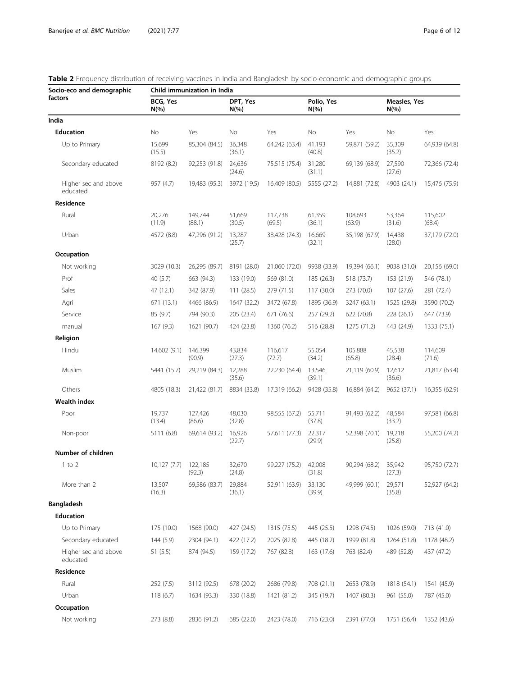| Socio-eco and demographic        | Child immunization in India |                   |                      |                   |                        |                   |                                 |                   |  |  |
|----------------------------------|-----------------------------|-------------------|----------------------|-------------------|------------------------|-------------------|---------------------------------|-------------------|--|--|
| factors                          | BCG, Yes<br>$N(\% )$        |                   | DPT, Yes<br>$N(\% )$ |                   | Polio, Yes<br>$N(\% )$ |                   | <b>Measles, Yes</b><br>$N(\% )$ |                   |  |  |
| India                            |                             |                   |                      |                   |                        |                   |                                 |                   |  |  |
| <b>Education</b>                 | No                          | Yes               | No                   | Yes               | No                     | Yes               | No                              | Yes               |  |  |
| Up to Primary                    | 15,699<br>(15.5)            | 85,304 (84.5)     | 36,348<br>(36.1)     | 64,242 (63.4)     | 41,193<br>(40.8)       | 59,871 (59.2)     | 35,309<br>(35.2)                | 64,939 (64.8)     |  |  |
| Secondary educated               | 8192 (8.2)                  | 92,253 (91.8)     | 24,636<br>(24.6)     | 75,515 (75.4)     | 31,280<br>(31.1)       | 69,139 (68.9)     | 27,590<br>(27.6)                | 72,366 (72.4)     |  |  |
| Higher sec and above<br>educated | 957 (4.7)                   | 19,483 (95.3)     | 3972 (19.5)          | 16,409 (80.5)     | 5555 (27.2)            | 14,881 (72.8)     | 4903 (24.1)                     | 15,476 (75.9)     |  |  |
| Residence                        |                             |                   |                      |                   |                        |                   |                                 |                   |  |  |
| Rural                            | 20,276<br>(11.9)            | 149,744<br>(88.1) | 51,669<br>(30.5)     | 117,738<br>(69.5) | 61,359<br>(36.1)       | 108,693<br>(63.9) | 53,364<br>(31.6)                | 115,602<br>(68.4) |  |  |
| Urban                            | 4572 (8.8)                  | 47,296 (91.2)     | 13,287<br>(25.7)     | 38,428 (74.3)     | 16,669<br>(32.1)       | 35,198 (67.9)     | 14,438<br>(28.0)                | 37,179 (72.0)     |  |  |
| Occupation                       |                             |                   |                      |                   |                        |                   |                                 |                   |  |  |
| Not working                      | 3029 (10.3)                 | 26,295 (89.7)     | 8191 (28.0)          | 21,060 (72.0)     | 9938 (33.9)            | 19,394 (66.1)     | 9038 (31.0)                     | 20,156 (69.0)     |  |  |
| Prof                             | 40 (5.7)                    | 663 (94.3)        | 133 (19.0)           | 569 (81.0)        | 185 (26.3)             | 518 (73.7)        | 153 (21.9)                      | 546 (78.1)        |  |  |
| Sales                            | 47 (12.1)                   | 342 (87.9)        | 111(28.5)            | 279 (71.5)        | 117 (30.0)             | 273 (70.0)        | 107(27.6)                       | 281 (72.4)        |  |  |
| Agri                             | 671 (13.1)                  | 4466 (86.9)       | 1647 (32.2)          | 3472 (67.8)       | 1895 (36.9)            | 3247 (63.1)       | 1525 (29.8)                     | 3590 (70.2)       |  |  |
| Service                          | 85 (9.7)                    | 794 (90.3)        | 205 (23.4)           | 671 (76.6)        | 257 (29.2)             | 622 (70.8)        | 228 (26.1)                      | 647 (73.9)        |  |  |
| manual                           | 167(9.3)                    | 1621 (90.7)       | 424 (23.8)           | 1360 (76.2)       | 516 (28.8)             | 1275 (71.2)       | 443 (24.9)                      | 1333 (75.1)       |  |  |
| Religion                         |                             |                   |                      |                   |                        |                   |                                 |                   |  |  |
| Hindu                            | 14,602 (9.1)                | 146,399<br>(90.9) | 43,834<br>(27.3)     | 116,617<br>(72.7) | 55,054<br>(34.2)       | 105,888<br>(65.8) | 45,538<br>(28.4)                | 114,609<br>(71.6) |  |  |
| Muslim                           | 5441 (15.7)                 | 29,219 (84.3)     | 12,288<br>(35.6)     | 22,230 (64.4)     | 13,546<br>(39.1)       | 21,119 (60.9)     | 12,612<br>(36.6)                | 21,817 (63.4)     |  |  |
| Others                           | 4805 (18.3)                 | 21,422 (81.7)     | 8834 (33.8)          | 17,319 (66.2)     | 9428 (35.8)            | 16,884 (64.2)     | 9652 (37.1)                     | 16,355 (62.9)     |  |  |
| Wealth index                     |                             |                   |                      |                   |                        |                   |                                 |                   |  |  |
| Poor                             | 19,737<br>(13.4)            | 127,426<br>(86.6) | 48,030<br>(32.8)     | 98,555 (67.2)     | 55,711<br>(37.8)       | 91,493 (62.2)     | 48,584<br>(33.2)                | 97,581 (66.8)     |  |  |
| Non-poor                         | 5111 (6.8)                  | 69,614 (93.2)     | 16,926<br>(22.7)     | 57,611 (77.3)     | 22,317<br>(29.9)       | 52,398 (70.1)     | 19,218<br>(25.8)                | 55,200 (74.2)     |  |  |
| Number of children               |                             |                   |                      |                   |                        |                   |                                 |                   |  |  |
| $1$ to $2$                       | 10,127(7.7)                 | 122,185<br>(92.3) | 32,670<br>(24.8)     | 99,227 (75.2)     | 42,008<br>(31.8)       | 90,294 (68.2)     | 35,942<br>(27.3)                | 95,750 (72.7)     |  |  |
| More than 2                      | 13,507<br>(16.3)            | 69,586 (83.7)     | 29,884<br>(36.1)     | 52,911 (63.9)     | 33,130<br>(39.9)       | 49,999 (60.1)     | 29,571<br>(35.8)                | 52,927 (64.2)     |  |  |
| <b>Bangladesh</b>                |                             |                   |                      |                   |                        |                   |                                 |                   |  |  |
| <b>Education</b>                 |                             |                   |                      |                   |                        |                   |                                 |                   |  |  |
| Up to Primary                    | 175 (10.0)                  | 1568 (90.0)       | 427 (24.5)           | 1315 (75.5)       | 445 (25.5)             | 1298 (74.5)       | 1026 (59.0)                     | 713 (41.0)        |  |  |
| Secondary educated               | 144 (5.9)                   | 2304 (94.1)       | 422 (17.2)           | 2025 (82.8)       | 445 (18.2)             | 1999 (81.8)       | 1264 (51.8)                     | 1178 (48.2)       |  |  |
| Higher sec and above<br>educated | 51(5.5)                     | 874 (94.5)        | 159 (17.2)           | 767 (82.8)        | 163 (17.6)             | 763 (82.4)        | 489 (52.8)                      | 437 (47.2)        |  |  |
| Residence                        |                             |                   |                      |                   |                        |                   |                                 |                   |  |  |
| Rural                            | 252(7.5)                    | 3112 (92.5)       | 678 (20.2)           | 2686 (79.8)       | 708 (21.1)             | 2653 (78.9)       | 1818 (54.1)                     | 1541 (45.9)       |  |  |
| Urban                            | 118(6.7)                    | 1634 (93.3)       | 330 (18.8)           | 1421 (81.2)       | 345 (19.7)             | 1407 (80.3)       | 961 (55.0)                      | 787 (45.0)        |  |  |
| Occupation                       |                             |                   |                      |                   |                        |                   |                                 |                   |  |  |
| Not working                      | 273 (8.8)                   | 2836 (91.2)       | 685 (22.0)           | 2423 (78.0)       | 716 (23.0)             | 2391 (77.0)       | 1751 (56.4)                     | 1352 (43.6)       |  |  |

<span id="page-5-0"></span>

|  |  |  |  | <b>Table 2</b> Frequency distribution of receiving vaccines in India and Bangladesh by socio-economic and demographic groups |  |
|--|--|--|--|------------------------------------------------------------------------------------------------------------------------------|--|
|  |  |  |  |                                                                                                                              |  |
|  |  |  |  |                                                                                                                              |  |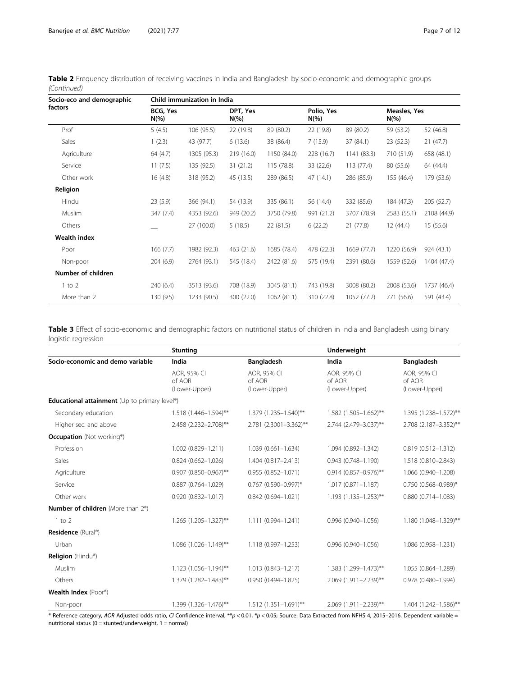| Socio-eco and demographic<br>factors | Child immunization in India |             |                     |             |                        |             |                         |             |  |  |  |
|--------------------------------------|-----------------------------|-------------|---------------------|-------------|------------------------|-------------|-------------------------|-------------|--|--|--|
|                                      | BCG, Yes<br>$N(\% )$        |             | DPT, Yes<br>$N(\%)$ |             | Polio, Yes<br>$N(\% )$ |             | Measles, Yes<br>$N(\%)$ |             |  |  |  |
| Prof                                 | 5(4.5)                      | 106 (95.5)  | 22 (19.8)           | 89 (80.2)   | 22 (19.8)              | 89 (80.2)   | 59 (53.2)               | 52 (46.8)   |  |  |  |
| Sales                                | 1(2.3)                      | 43 (97.7)   | 6(13.6)             | 38 (86.4)   | 7(15.9)                | 37 (84.1)   | 23 (52.3)               | 21(47.7)    |  |  |  |
| Agriculture                          | 64 (4.7)                    | 1305 (95.3) | 219 (16.0)          | 1150 (84.0) | 228 (16.7)             | 1141 (83.3) | 710 (51.9)              | 658 (48.1)  |  |  |  |
| Service                              | 11(7.5)                     | 135 (92.5)  | 31(21.2)            | 115 (78.8)  | 33 (22.6)              | 113(77.4)   | 80 (55.6)               | 64 (44.4)   |  |  |  |
| Other work                           | 16(4.8)                     | 318 (95.2)  | 45 (13.5)           | 289 (86.5)  | 47 (14.1)              | 286 (85.9)  | 155 (46.4)              | 179 (53.6)  |  |  |  |
| Religion                             |                             |             |                     |             |                        |             |                         |             |  |  |  |
| Hindu                                | 23(5.9)                     | 366 (94.1)  | 54 (13.9)           | 335 (86.1)  | 56 (14.4)              | 332 (85.6)  | 184 (47.3)              | 205 (52.7)  |  |  |  |
| Muslim                               | 347 (7.4)                   | 4353 (92.6) | 949 (20.2)          | 3750 (79.8) | 991 (21.2)             | 3707 (78.9) | 2583 (55.1)             | 2108 (44.9) |  |  |  |
| Others                               |                             | 27 (100.0)  | 5(18.5)             | 22(81.5)    | 6(22.2)                | 21(77.8)    | 12(44.4)                | 15 (55.6)   |  |  |  |
| Wealth index                         |                             |             |                     |             |                        |             |                         |             |  |  |  |
| Poor                                 | 166(7.7)                    | 1982 (92.3) | 463 (21.6)          | 1685 (78.4) | 478 (22.3)             | 1669 (77.7) | 1220 (56.9)             | 924 (43.1)  |  |  |  |
| Non-poor                             | 204(6.9)                    | 2764 (93.1) | 545 (18.4)          | 2422 (81.6) | 575 (19.4)             | 2391 (80.6) | 1559 (52.6)             | 1404 (47.4) |  |  |  |
| Number of children                   |                             |             |                     |             |                        |             |                         |             |  |  |  |
| $1$ to $2$                           | 240 (6.4)                   | 3513 (93.6) | 708 (18.9)          | 3045 (81.1) | 743 (19.8)             | 3008 (80.2) | 2008 (53.6)             | 1737 (46.4) |  |  |  |
| More than 2                          | 130(9.5)                    | 1233 (90.5) | 300 (22.0)          | 1062 (81.1) | 310 (22.8)             | 1052 (77.2) | 771 (56.6)              | 591 (43.4)  |  |  |  |

<span id="page-6-0"></span>Table 2 Frequency distribution of receiving vaccines in India and Bangladesh by socio-economic and demographic groups (Continued)

Table 3 Effect of socio-economic and demographic factors on nutritional status of children in India and Bangladesh using binary logistic regression

|                                                       | <b>Stunting</b>                        |                                        | <b>Underweight</b>                     |                                        |
|-------------------------------------------------------|----------------------------------------|----------------------------------------|----------------------------------------|----------------------------------------|
| Socio-economic and demo variable                      | India                                  | <b>Bangladesh</b>                      | India                                  | <b>Bangladesh</b>                      |
|                                                       | AOR, 95% CI<br>of AOR<br>(Lower-Upper) | AOR. 95% CI<br>of AOR<br>(Lower-Upper) | AOR, 95% CI<br>of AOR<br>(Lower-Upper) | AOR, 95% CI<br>of AOR<br>(Lower-Upper) |
| Educational attainment (Up to primary level®)         |                                        |                                        |                                        |                                        |
| Secondary education                                   | 1.518 (1.446-1.594)**                  | 1.379 (1.235-1.540)**                  | $1.582$ (1.505-1.662)**                | 1.395 (1.238-1.572)**                  |
| Higher sec. and above                                 | 2.458 (2.232-2.708)**                  | 2.781 (2.3001-3.362)**                 | 2.744 (2.479-3.037)**                  | 2.708 (2.187-3.352)**                  |
| <b>Occupation</b> (Not working <sup>®</sup> )         |                                        |                                        |                                        |                                        |
| Profession                                            | 1.002 (0.829-1.211)                    | 1.039 (0.661-1.634)                    | 1.094 (0.892-1.342)                    | $0.819(0.512 - 1.312)$                 |
| Sales                                                 | $0.824(0.662 - 1.026)$                 | 1.404 (0.817-2.413)                    | $0.943(0.748 - 1.190)$                 | 1.518 (0.810-2.843)                    |
| Agriculture                                           | $0.907$ (0.850-0.967)**                | $0.955(0.852 - 1.071)$                 | $0.914$ (0.857-0.976)**                | 1.066 (0.940-1.208)                    |
| Service                                               | $0.887$ (0.764-1.029)                  | $0.767$ (0.590-0.997)*                 | $1.017(0.871 - 1.187)$                 | 0.750 (0.568-0.989)*                   |
| Other work                                            | $0.920(0.832 - 1.017)$                 | $0.842(0.694 - 1.021)$                 | $1.193$ (1.135-1.253)**                | $0.880(0.714 - 1.083)$                 |
| <b>Number of children</b> (More than 2 <sup>®</sup> ) |                                        |                                        |                                        |                                        |
| $1$ to $2$                                            | 1.265 (1.205-1.327)**                  | 1.111 (0.994-1.241)                    | $0.996(0.940 - 1.056)$                 | 1.180 (1.048-1.329)**                  |
| Residence (Rural®)                                    |                                        |                                        |                                        |                                        |
| Urban                                                 | $1.086$ (1.026-1.149)**                | 1.118 (0.997-1.253)                    | $0.996(0.940 - 1.056)$                 | 1.086 (0.958-1.231)                    |
| Religion (Hindu®)                                     |                                        |                                        |                                        |                                        |
| Muslim                                                | $1.123$ (1.056-1.194)**                | 1.013 (0.843-1.217)                    | 1.383 (1.299-1.473)**                  | 1.055 (0.864-1.289)                    |
| Others                                                | 1.379 (1.282-1.483)**                  | $0.950(0.494 - 1.825)$                 | 2.069 (1.911-2.239)**                  | 0.978 (0.480-1.994)                    |
| Wealth Index (Poor®)                                  |                                        |                                        |                                        |                                        |
| Non-poor                                              | 1.399 (1.326-1.476)**                  | $1.512(1.351 - 1.691)$ **              | 2.069 (1.911-2.239)**                  | $1.404$ (1.242-1.586)**                |

 $\bullet$  Reference category, AOR Adjusted odds ratio, CI Confidence interval, \*\*p < 0.01, \*p < 0.05; Source: Data Extracted from NFHS 4, 2015-2016. Dependent variable = nutritional status  $(0 =$  stunted/underweight,  $1 =$  normal)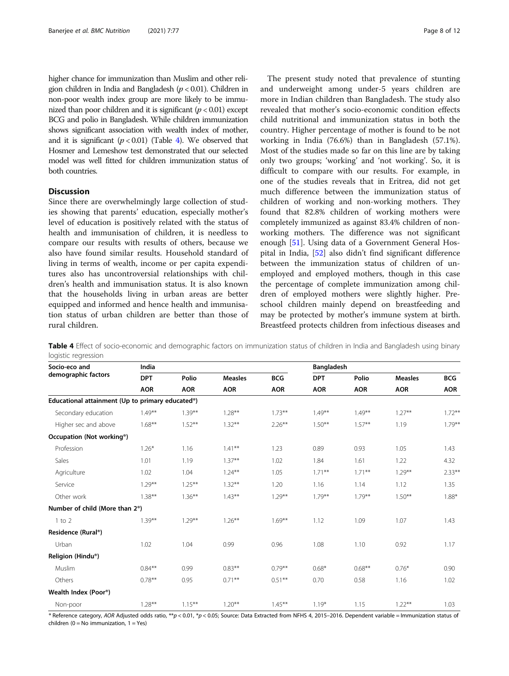higher chance for immunization than Muslim and other religion children in India and Bangladesh ( $p < 0.01$ ). Children in non-poor wealth index group are more likely to be immunized than poor children and it is significant  $(p < 0.01)$  except BCG and polio in Bangladesh. While children immunization shows significant association with wealth index of mother, and it is significant  $(p < 0.01)$  (Table 4). We observed that Hosmer and Lemeshow test demonstrated that our selected model was well fitted for children immunization status of both countries.

## **Discussion**

Since there are overwhelmingly large collection of studies showing that parents' education, especially mother's level of education is positively related with the status of health and immunisation of children, it is needless to compare our results with results of others, because we also have found similar results. Household standard of living in terms of wealth, income or per capita expenditures also has uncontroversial relationships with children's health and immunisation status. It is also known that the households living in urban areas are better equipped and informed and hence health and immunisation status of urban children are better than those of rural children.

The present study noted that prevalence of stunting and underweight among under-5 years children are more in Indian children than Bangladesh. The study also revealed that mother's socio-economic condition effects child nutritional and immunization status in both the country. Higher percentage of mother is found to be not working in India (76.6%) than in Bangladesh (57.1%). Most of the studies made so far on this line are by taking only two groups; 'working' and 'not working'. So, it is difficult to compare with our results. For example, in one of the studies reveals that in Eritrea, did not get much difference between the immunization status of children of working and non-working mothers. They found that 82.8% children of working mothers were completely immunized as against 83.4% children of nonworking mothers. The difference was not significant enough [[51\]](#page-10-0). Using data of a Government General Hospital in India, [[52](#page-10-0)] also didn't find significant difference between the immunization status of children of unemployed and employed mothers, though in this case the percentage of complete immunization among children of employed mothers were slightly higher. Preschool children mainly depend on breastfeeding and may be protected by mother's immune system at birth. Breastfeed protects children from infectious diseases and

Table 4 Effect of socio-economic and demographic factors on immunization status of children in India and Bangladesh using binary logistic regression

| Socio-eco and<br>demographic factors             | India      |            |                |            |            | <b>Bangladesh</b> |                |            |  |  |
|--------------------------------------------------|------------|------------|----------------|------------|------------|-------------------|----------------|------------|--|--|
|                                                  | <b>DPT</b> | Polio      | <b>Measles</b> | <b>BCG</b> | <b>DPT</b> | Polio             | <b>Measles</b> | <b>BCG</b> |  |  |
|                                                  | <b>AOR</b> | <b>AOR</b> | <b>AOR</b>     | <b>AOR</b> | <b>AOR</b> | <b>AOR</b>        | <b>AOR</b>     | <b>AOR</b> |  |  |
| Educational attainment (Up to primary educated®) |            |            |                |            |            |                   |                |            |  |  |
| Secondary education                              | $1.49***$  | $1.39***$  | $1.28***$      | $1.73***$  | $1.49***$  | $1.49**$          | $1.27***$      | $1.72***$  |  |  |
| Higher sec and above                             | $1.68***$  | $1.52***$  | $1.32***$      | $2.26***$  | $1.50**$   | $1.57***$         | 1.19           | $1.79***$  |  |  |
| Occupation (Not working <sup>®</sup> )           |            |            |                |            |            |                   |                |            |  |  |
| Profession                                       | $1.26*$    | 1.16       | $1.41***$      | 1.23       | 0.89       | 0.93              | 1.05           | 1.43       |  |  |
| Sales                                            | 1.01       | 1.19       | $1.37**$       | 1.02       | 1.84       | 1.61              | 1.22           | 4.32       |  |  |
| Agriculture                                      | 1.02       | 1.04       | $1.24***$      | 1.05       | $1.71***$  | $1.71***$         | $1.29***$      | $2.33***$  |  |  |
| Service                                          | $1.29***$  | $1.25***$  | $1.32***$      | 1.20       | 1.16       | 1.14              | 1.12           | 1.35       |  |  |
| Other work                                       | $1.38***$  | $1.36***$  | $1.43***$      | $1.29***$  | $1.79***$  | $1.79***$         | $1.50***$      | 1.88*      |  |  |
| Number of child (More than 2 <sup>®</sup> )      |            |            |                |            |            |                   |                |            |  |  |
| $1$ to $2$                                       | $1.39***$  | $1.29***$  | $1.26***$      | $1.69***$  | 1.12       | 1.09              | 1.07           | 1.43       |  |  |
| Residence (Rural®)                               |            |            |                |            |            |                   |                |            |  |  |
| Urban                                            | 1.02       | 1.04       | 0.99           | 0.96       | 1.08       | 1.10              | 0.92           | 1.17       |  |  |
| Religion (Hindu®)                                |            |            |                |            |            |                   |                |            |  |  |
| Muslim                                           | $0.84***$  | 0.99       | $0.83***$      | $0.79***$  | $0.68*$    | $0.68***$         | $0.76*$        | 0.90       |  |  |
| Others                                           | $0.78***$  | 0.95       | $0.71***$      | $0.51***$  | 0.70       | 0.58              | 1.16           | 1.02       |  |  |
| Wealth Index (Poor®)                             |            |            |                |            |            |                   |                |            |  |  |
| Non-poor                                         | $1.28***$  | $1.15***$  | $1.20**$       | $1.45***$  | $1.19*$    | 1.15              | $1.22***$      | 1.03       |  |  |

® Reference category, AOR Adjusted odds ratio, \*\*p < 0.01, \*p < 0.05; Source: Data Extracted from NFHS 4, 2015-2016. Dependent variable = Immunization status of children (0 = No immunization,  $1 = Yes$ )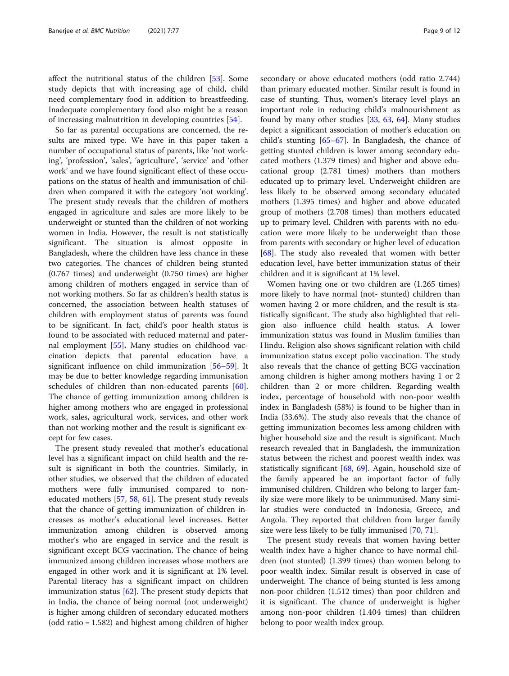affect the nutritional status of the children [\[53\]](#page-10-0). Some study depicts that with increasing age of child, child need complementary food in addition to breastfeeding. Inadequate complementary food also might be a reason of increasing malnutrition in developing countries [\[54](#page-10-0)].

So far as parental occupations are concerned, the results are mixed type. We have in this paper taken a number of occupational status of parents, like 'not working', 'profession', 'sales', 'agriculture', 'service' and 'other work' and we have found significant effect of these occupations on the status of health and immunisation of children when compared it with the category 'not working'. The present study reveals that the children of mothers engaged in agriculture and sales are more likely to be underweight or stunted than the children of not working women in India. However, the result is not statistically significant. The situation is almost opposite in Bangladesh, where the children have less chance in these two categories. The chances of children being stunted (0.767 times) and underweight (0.750 times) are higher among children of mothers engaged in service than of not working mothers. So far as children's health status is concerned, the association between health statuses of children with employment status of parents was found to be significant. In fact, child's poor health status is found to be associated with reduced maternal and paternal employment [\[55](#page-10-0)]. Many studies on childhood vaccination depicts that parental education have a significant influence on child immunization [[56](#page-10-0)–[59](#page-10-0)]. It may be due to better knowledge regarding immunisation schedules of children than non-educated parents [\[60](#page-11-0)]. The chance of getting immunization among children is higher among mothers who are engaged in professional work, sales, agricultural work, services, and other work than not working mother and the result is significant except for few cases.

The present study revealed that mother's educational level has a significant impact on child health and the result is significant in both the countries. Similarly, in other studies, we observed that the children of educated mothers were fully immunised compared to noneducated mothers [\[57](#page-10-0), [58](#page-10-0), [61\]](#page-11-0). The present study reveals that the chance of getting immunization of children increases as mother's educational level increases. Better immunization among children is observed among mother's who are engaged in service and the result is significant except BCG vaccination. The chance of being immunized among children increases whose mothers are engaged in other work and it is significant at 1% level. Parental literacy has a significant impact on children immunization status [[62\]](#page-11-0). The present study depicts that in India, the chance of being normal (not underweight) is higher among children of secondary educated mothers (odd ratio = 1.582) and highest among children of higher secondary or above educated mothers (odd ratio 2.744) than primary educated mother. Similar result is found in case of stunting. Thus, women's literacy level plays an important role in reducing child's malnourishment as found by many other studies [[33,](#page-10-0) [63](#page-11-0), [64](#page-11-0)]. Many studies depict a significant association of mother's education on child's stunting [\[65](#page-11-0)–[67\]](#page-11-0). In Bangladesh, the chance of getting stunted children is lower among secondary educated mothers (1.379 times) and higher and above educational group (2.781 times) mothers than mothers educated up to primary level. Underweight children are less likely to be observed among secondary educated mothers (1.395 times) and higher and above educated group of mothers (2.708 times) than mothers educated up to primary level. Children with parents with no education were more likely to be underweight than those from parents with secondary or higher level of education [[68\]](#page-11-0). The study also revealed that women with better education level, have better immunization status of their children and it is significant at 1% level.

Women having one or two children are (1.265 times) more likely to have normal (not- stunted) children than women having 2 or more children, and the result is statistically significant. The study also highlighted that religion also influence child health status. A lower immunization status was found in Muslim families than Hindu. Religion also shows significant relation with child immunization status except polio vaccination. The study also reveals that the chance of getting BCG vaccination among children is higher among mothers having 1 or 2 children than 2 or more children. Regarding wealth index, percentage of household with non-poor wealth index in Bangladesh (58%) is found to be higher than in India (33.6%). The study also reveals that the chance of getting immunization becomes less among children with higher household size and the result is significant. Much research revealed that in Bangladesh, the immunization status between the richest and poorest wealth index was statistically significant [[68,](#page-11-0) [69](#page-11-0)]. Again, household size of the family appeared be an important factor of fully immunised children. Children who belong to larger family size were more likely to be unimmunised. Many similar studies were conducted in Indonesia, Greece, and Angola. They reported that children from larger family size were less likely to be fully immunised [[70,](#page-11-0) [71](#page-11-0)].

The present study reveals that women having better wealth index have a higher chance to have normal children (not stunted) (1.399 times) than women belong to poor wealth index. Similar result is observed in case of underweight. The chance of being stunted is less among non-poor children (1.512 times) than poor children and it is significant. The chance of underweight is higher among non-poor children (1.404 times) than children belong to poor wealth index group.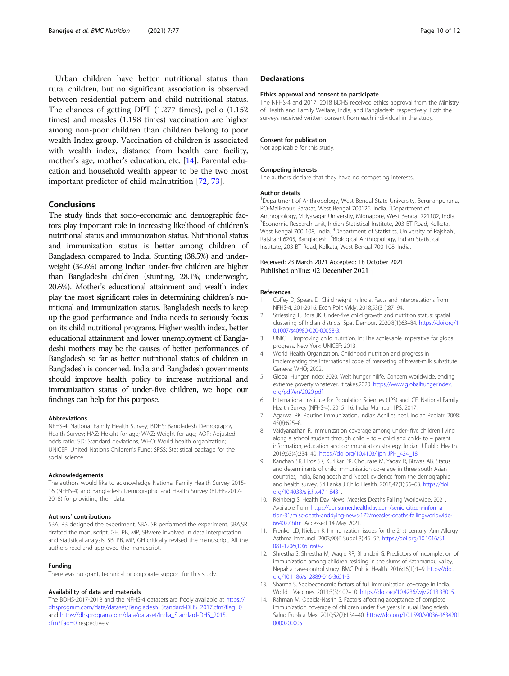<span id="page-9-0"></span>Urban children have better nutritional status than rural children, but no significant association is observed between residential pattern and child nutritional status. The chances of getting DPT (1.277 times), polio (1.152 times) and measles (1.198 times) vaccination are higher among non-poor children than children belong to poor wealth Index group. Vaccination of children is associated with wealth index, distance from health care facility, mother's age, mother's education, etc. [14]. Parental education and household wealth appear to be the two most important predictor of child malnutrition [\[72](#page-11-0), [73](#page-11-0)].

## Conclusions

The study finds that socio-economic and demographic factors play important role in increasing likelihood of children's nutritional status and immunization status. Nutritional status and immunization status is better among children of Bangladesh compared to India. Stunting (38.5%) and underweight (34.6%) among Indian under-five children are higher than Bangladeshi children (stunting, 28.1%; underweight, 20.6%). Mother's educational attainment and wealth index play the most significant roles in determining children's nutritional and immunization status. Bangladesh needs to keep up the good performance and India needs to seriously focus on its child nutritional programs. Higher wealth index, better educational attainment and lower unemployment of Bangladeshi mothers may be the causes of better performances of Bangladesh so far as better nutritional status of children in Bangladesh is concerned. India and Bangladesh governments should improve health policy to increase nutritional and immunization status of under-five children, we hope our findings can help for this purpose.

#### Abbreviations

NFHS-4: National Family Health Survey; BDHS: Bangladesh Demography Health Survey; HAZ: Height for age; WAZ: Weight for age; AOR: Adjusted odds ratio; SD: Standard deviations; WHO: World health organization; UNICEF: United Nations Children's Fund; SPSS: Statistical package for the social science

#### Acknowledgements

The authors would like to acknowledge National Family Health Survey 2015- 16 (NFHS-4) and Bangladesh Demographic and Health Survey (BDHS-2017- 2018) for providing their data.

#### Authors' contributions

SBA, PB designed the experiment. SBA, SR performed the experiment. SBA,SR drafted the manuscript. GH, PB, MP, SBwere involved in data interpretation and statistical analysis. SB, PB, MP, GH critically revised the manuscript. All the authors read and approved the manuscript.

#### Funding

There was no grant, technical or corporate support for this study.

#### Availability of data and materials

The BDHS-2017-2018 and the NFHS-4 datasets are freely available at [https://](https://dhsprogram.com/data/dataset/Bangladesh_Standard-DHS_2017.cfm?flag=0) [dhsprogram.com/data/dataset/Bangladesh\\_Standard-DHS\\_2017.cfm?flag=0](https://dhsprogram.com/data/dataset/Bangladesh_Standard-DHS_2017.cfm?flag=0) and [https://dhsprogram.com/data/dataset/India\\_Standard-DHS\\_2015.](https://dhsprogram.com/data/dataset/India_Standard-DHS_2015.cfm?flag=0) [cfm?flag=0](https://dhsprogram.com/data/dataset/India_Standard-DHS_2015.cfm?flag=0) respectively.

## **Declarations**

#### Ethics approval and consent to participate

The NFHS-4 and 2017–2018 BDHS received ethics approval from the Ministry of Health and Family Welfare, India, and Bangladesh respectively. Both the surveys received written consent from each individual in the study.

### Consent for publication

Not applicable for this study.

#### Competing interests

The authors declare that they have no competing interests.

#### Author details

<sup>1</sup>Department of Anthropology, West Bengal State University, Berunanpukuria PO-Malikapur, Barasat, West Bengal 700126, India. <sup>2</sup>Department of Anthropology, Vidyasagar University, Midnapore, West Bengal 721102, India. <sup>3</sup> Economic Research Unit, Indian Statistical Institute, 203 BT Road, Kolkata West Bengal 700 108, India. <sup>4</sup>Department of Statistics, University of Rajshahi Rajshahi 6205, Bangladesh. <sup>5</sup>Biological Anthropology, Indian Statistical Institute, 203 BT Road, Kolkata, West Bengal 700 108, India.

## Received: 23 March 2021 Accepted: 18 October 2021

#### References

- 1. Coffey D, Spears D. Child height in India. Facts and interpretations from NFHS-4, 201-2016. Econ Polit Wkly. 2018;53(31):87–94.
- 2. Striessing E, Bora JK. Under-five child growth and nutrition status: spatial clustering of Indian districts. Spat Demogr. 2020;8(1):63–84. [https://doi.org/1](https://doi.org/10.1007/s40980-020-00058-3) [0.1007/s40980-020-00058-3](https://doi.org/10.1007/s40980-020-00058-3).
- 3. UNICEF. Improving child nutrition. In: The achievable imperative for global progress. New York: UNICEF; 2013.
- 4. World Health Organization. Childhood nutrition and progress in implementing the international code of marketing of breast-milk substitute. Geneva: WHO; 2002.
- 5. Global Hunger Index 2020. Welt hunger hilife, Concern worldwide, ending extreme poverty whatever, it takes.2020. [https://www.globalhungerindex.](https://www.globalhungerindex.org/pdf/en/2020.pdf) [org/pdf/en/2020.pdf](https://www.globalhungerindex.org/pdf/en/2020.pdf)
- 6. International Institute for Population Sciences (IIPS) and ICF. National Family Health Survey (NFHS-4), 2015–16: India. Mumbai: IIPS; 2017.
- 7. Agarwal RK. Routine immunization, India's Achilles heel. Indian Pediatr. 2008; 45(8):625–8.
- Vaidyanathan R. Immunization coverage among under- five children living along a school student through child – to – child and child- to – parent information, education and communication strategy. Indian J Public Health. 2019;63(4):334–40. [https://doi.org/10.4103/ijph.IJPH\\_424\\_18.](https://doi.org/10.4103/ijph.IJPH_424_18)
- 9. Kanchan SK, Firoz SK, Kurlikar PR, Chourase M, Yadav R, Biswas AB. Status and determinants of child immunisation coverage in three south Asian countries, India, Bangladesh and Nepal: evidence from the demographic and health survey. Sri Lanka J Child Health. 2018;47(1):56–63. [https://doi.](https://doi.org/10.4038/sljch.v47i1.8431) [org/10.4038/sljch.v47i1.8431](https://doi.org/10.4038/sljch.v47i1.8431).
- 10. Reinberg S. Health Day News. Measles Deaths Falling Worldwide. 2021. Available from: [https://consumer.healthday.com/seniorcitizen-informa](https://consumer.healthday.com/seniorcitizen-information-31/misc-death-anddying-news-172/measles-deaths-fallingworldwide-664027.htm) [tion-31/misc-death-anddying-news-172/measles-deaths-fallingworldwide-](https://consumer.healthday.com/seniorcitizen-information-31/misc-death-anddying-news-172/measles-deaths-fallingworldwide-664027.htm)[664027.htm](https://consumer.healthday.com/seniorcitizen-information-31/misc-death-anddying-news-172/measles-deaths-fallingworldwide-664027.htm). Accessed 14 May 2021.
- 11. Frenkel LD, Nielsen K. Immunization issues for the 21st century. Ann Allergy Asthma Immunol. 2003;90(6 Suppl 3):45–52. [https://doi.org/10.1016/S1](https://doi.org/10.1016/S1081-1206(10)61660-2) [081-1206\(10\)61660-2.](https://doi.org/10.1016/S1081-1206(10)61660-2)
- 12. Shrestha S, Shrestha M, Wagle RR, Bhandari G. Predictors of incompletion of immunization among children residing in the slums of Kathmandu valley, Nepal: a case-control study. BMC Public Health. 2016;16(1):1–9. [https://doi.](https://doi.org/10.1186/s12889-016-3651-3) [org/10.1186/s12889-016-3651-3](https://doi.org/10.1186/s12889-016-3651-3).
- 13. Sharma S. Socioeconomic factors of full immunisation coverage in India. World J Vaccines. 2013;3(3):102–10. [https://doi.org/10.4236/wjv.2013.33015.](https://doi.org/10.4236/wjv.2013.33015)
- 14. Rahman M, Obaida-Nasrin S. Factors affecting acceptance of complete immunization coverage of children under five years in rural Bangladesh. Salud Publica Mex. 2010;52(2):134–40. [https://doi.org/10.1590/s0036-3634201](https://doi.org/10.1590/s0036-36342010000200005) [0000200005.](https://doi.org/10.1590/s0036-36342010000200005)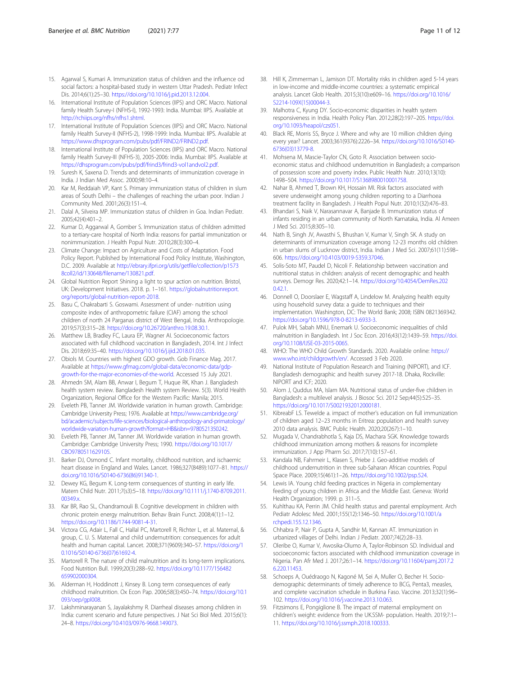- <span id="page-10-0"></span>15. Agarwal S, Kumari A. Immunization status of children and the influence od social factors: a hospital-based study in western Uttar Pradesh. Pediatr Infect Dis. 2014;6(1):25–30. <https://doi.org/10.1016/j.pid.2013.12.004>.
- 16. International Institute of Population Sciences (IIPS) and ORC Macro. National family Health Survey-I (NFHS-I), 1992-1993: India. Mumbai: IIPS. Available at <http://rchiips.org/nfhs/nfhs1.shtml>.
- 17. International Institute of Population Sciences (IIPS) and ORC Macro. National family Health Survey-II (NFHS-2), 1998-1999: India. Mumbai: IIPS. Available at <https://www.dhsprogram.com/pubs/pdf/FRIND2/FRIND2.pdf>.
- 18. International Institute of Population Sciences (IIPS) and ORC Macro. National family Health Survey-III (NFHS-3), 2005-2006: India. Mumbai: IIPS. Available at [https://dhsprogram.com/pubs/pdf/frind3/frind3-vol1andvol2.pdf.](https://dhsprogram.com/pubs/pdf/frind3/frind3-vol1andvol2.pdf)
- 19. Suresh K, Saxena D. Trends and determinants of immunization coverage in India. J Indian Med Assoc. 2000;98:10–4.
- 20. Kar M, Reddaiah VP, Kant S. Primary immunization status of children in slum areas of South Delhi – the challenges of reaching the urban poor. Indian J Community Med. 2001;26(3):151–4.
- 21. Dalal A, Silveira MP. Immunization status of children in Goa. Indian Pediatr. 2005;42(4):401–2.
- 22. Kumar D, Aggarwal A, Gomber S. Immunization status of children admitted to a tertiary-care hospital of North India: reasons for partial immunization or nonimmunization. J Health Popul Nutr. 2010;28(3):300–4.
- 23. Climate Change: Impact on Agriculture and Costs of Adaptation. Food Policy Report. Published by International Food Policy Institute, Washington, D.C. 2009. Available at [http://ebrary.ifpri.org/utils/getfile/collection/p1573](http://ebrary.ifpri.org/utils/getfile/collection/p15738coll2/id/130648/filename/130821.pdf) [8coll2/id/130648/filename/130821.pdf.](http://ebrary.ifpri.org/utils/getfile/collection/p15738coll2/id/130648/filename/130821.pdf)
- 24. Global Nutrition Report Shining a light to spur action on nutrition. Bristol, UK: Development Initiatives. 2018. p. 1–161. [https://globalnutritionreport.](https://globalnutritionreport.org/reports/global-nutrition-report-2018) [org/reports/global-nutrition-report-2018.](https://globalnutritionreport.org/reports/global-nutrition-report-2018)
- 25. Basu C, Chakrabarti S. Goswami. Assessment of under- nutrition using composite index of anthropometric failure (CIAF) among the school children of north 24 Parganas district of West Bengal, India. Anthropologie. 2019;57(3):315–28. [https://doi.org/10.26720/anthro.19.08.30.1.](https://doi.org/10.26720/anthro.19.08.30.1)
- 26. Matthew LB, Bradley FC, Laura EP, Wagner AI. Socioeconomic factors associated with full childhood vaccination in Bangladesh, 2014. Int J Infect Dis. 2018;69:35–40. [https://doi.org/10.1016/j.ijid.2018.01.035.](https://doi.org/10.1016/j.ijid.2018.01.035)
- 27. Obiols M. Countries with highest GDO growth. Gob Finance Mag. 2017. Available at [https://www.gfmag.com/global-data/economic-data/gdp](https://www.gfmag.com/global-data/economic-data/gdp-growth-for-the-major-economies-of-the-world)[growth-for-the-major-economies-of-the-world.](https://www.gfmag.com/global-data/economic-data/gdp-growth-for-the-major-economies-of-the-world) Accessed 15 July 2021.
- 28. Ahmedn SM, Alam BB, Anwar I, Begum T, Huque RK, Khan J. Bangladesh health system review. Bangladesh Health system Review. 5(3). World Health Organization, Regional Office for the Western Pacific: Manila; 2015.
- 29. Eveleth PB, Tanner JM. Worldwide variation in human growth. Cambridge: Cambridge University Press; 1976. Available at [https://www.cambridge.org/](https://www.cambridge.org/bd/academic/subjects/life-sciences/biological-anthropology-and-primatology/worldwide-variation-human-growth?format=HB&isbn=9780521350242) [bd/academic/subjects/life-sciences/biological-anthropology-and-primatology/](https://www.cambridge.org/bd/academic/subjects/life-sciences/biological-anthropology-and-primatology/worldwide-variation-human-growth?format=HB&isbn=9780521350242) [worldwide-variation-human-growth?format=HB&isbn=9780521350242](https://www.cambridge.org/bd/academic/subjects/life-sciences/biological-anthropology-and-primatology/worldwide-variation-human-growth?format=HB&isbn=9780521350242).
- 30. Eveleth PB, Tanner JM, Tanner JM. Worldwide variation in human growth. Cambridge: Cambridge University Press; 1990. [https://doi.org/10.1017/](https://doi.org/10.1017/CBO9780511629105) [CBO9780511629105](https://doi.org/10.1017/CBO9780511629105).
- 31. Barker DJ, Osmond C. Infant mortality, childhood nutrition, and ischaemic heart disease in England and Wales. Lancet. 1986;327(8489):1077–81. [https://](https://doi.org/10.1016/S0140-6736(86)91340-1) [doi.org/10.1016/S0140-6736\(86\)91340-1](https://doi.org/10.1016/S0140-6736(86)91340-1).
- 32. Dewey KG, Begum K. Long-term consequences of stunting in early life. Matern Child Nutr. 2011;7(s3):5–18. [https://doi.org/10.1111/j.1740-8709.2011.](https://doi.org/10.1111/j.1740-8709.2011.00349.x) [00349.x.](https://doi.org/10.1111/j.1740-8709.2011.00349.x)
- 33. Kar BR, Rao SL, Chandramouli B. Cognitive development in children with chronic protein energy malnutrition. Behav Brain Funct. 2008;4(1):1–12. [https://doi.org/10.1186/1744-9081-4-31.](https://doi.org/10.1186/1744-9081-4-31)
- 34. Victora CG, Adair L, Fall C, Hallal PC, Martorell R, Richter L, et al. Maternal, & group, C. U. S. Maternal and child undernutrition: consequences for adult health and human capital. Lancet. 2008;371(9609):340–57. [https://doi.org/1](https://doi.org/10.1016/S0140-6736(07)61692-4) [0.1016/S0140-6736\(07\)61692-4](https://doi.org/10.1016/S0140-6736(07)61692-4).
- 35. Martorell R. The nature of child malnutrition and its long-term implications. Food Nutrition Bull. 1999;20(3):288–92. [https://doi.org/10.1177/156482](https://doi.org/10.1177/156482659902000304) [659902000304.](https://doi.org/10.1177/156482659902000304)
- 36. Alderman H, Hoddinott J, Kinsey B. Long term consequences of early childhood malnutrition. Ox Econ Pap. 2006;58(3):450–74. [https://doi.org/10.1](https://doi.org/10.1093/oep/gpl008) [093/oep/gpl008](https://doi.org/10.1093/oep/gpl008).
- 37. Lakshminarayanan S, Jayalakshmy R. Diarrheal diseases among children in India: current scenario and future perspectives. J Nat Sci Biol Med. 2015;6(1): 24–8. <https://doi.org/10.4103/0976-9668.149073>.
- 38. Hill K, Zimmerman L, Jamison DT. Mortality risks in children aged 5-14 years in low-income and middle-income countries: a systematic empirical analysis. Lancet Glob Health. 2015;3(10):e609–16. [https://doi.org/10.1016/](https://doi.org/10.1016/S2214-109X(15)00044-3) [S2214-109X\(15\)00044-3.](https://doi.org/10.1016/S2214-109X(15)00044-3)
- 39. Malhotra C, Kyung DY. Socio-economic disparities in health system responsiveness in India. Health Policy Plan. 2012;28(2):197–205. [https://doi.](https://doi.org/10.1093/heapol/czs051) [org/10.1093/heapol/czs051.](https://doi.org/10.1093/heapol/czs051)
- 40. Black RE, Morris SS, Bryce J. Where and why are 10 million children dying every year? Lancet. 2003;361(9376):2226–34. [https://doi.org/10.1016/S0140-](https://doi.org/10.1016/S0140-6736(03)13779-8) [6736\(03\)13779-8](https://doi.org/10.1016/S0140-6736(03)13779-8).
- 41. Mohsena M, Mascie-Taylor CN, Goto R. Association between socioeconomic status and childhood undernutrition in Bangladesh; a comparison of possession score and poverty index. Public Health Nutr. 2010;13(10): 1498–504. [https://doi.org/10.1017/S1368980010001758.](https://doi.org/10.1017/S1368980010001758)
- 42. Nahar B, Ahmed T, Brown KH, Hossain MI. Risk factors associated with severe underweight among young children reporting to a Diarrhoea treatment facility in Bangladesh. J Health Popul Nutr. 2010;1(32):476–83.
- 43. Bhandari S, Naik V, Narasannavar A, Banjade B. Immunization status of infants residing in an urban community of North Karnataka, India. Al Ameen J Med Sci. 2015;8:305–10.
- 44. Nath B, Singh JV, Awasthi S, Bhushan V, Kumar V, Singh SK. A study on determinants of immunization coverage among 12-23 months old children in urban slums of Lucknow district, India. Indian J Med Sci. 2007;61(11):598– 606. <https://doi.org/10.4103/0019-5359.37046>.
- 45. Solis-Soto MT, Paudel D, Nicoli F. Relationship between vaccination and nutritional status in children: analysis of recent demographic and health surveys. Demogr Res. 2020;42:1–14. [https://doi.org/10.4054/DemRes.202](https://doi.org/10.4054/DemRes.2020.42.1) [0.42.1.](https://doi.org/10.4054/DemRes.2020.42.1)
- 46. Donnell O, Doorslaer E, Wagstaff A, Lindelow M. Analyzing health equity using household survey data: a guide to techniques and their implementation. Washington, DC: The World Bank; 2008; ISBN 0821369342. [https://doi.org/10.1596/978-0-8213-6933-3.](https://doi.org/10.1596/978-0-8213-6933-3)
- 47. Pulok MH, Sabah MNU, Enemark U. Socioeconomic inequalities of child malnutrition in Bangladesh. Int J Soc Econ. 2016;43(12):1439–59. [https://doi.](https://doi.org/10.1108/IJSE-03-2015-0065) [org/10.1108/IJSE-03-2015-0065.](https://doi.org/10.1108/IJSE-03-2015-0065)
- 48. WHO: The WHO Child Growth Standards. 2020. Available online: [https://](https://www.who.int/childgrowth/en/) [www.who.int/childgrowth/en/.](https://www.who.int/childgrowth/en/) Accessed 3 Feb 2020.
- 49. National Institute of Population Research and Training (NIPORT), and ICF. Bangladesh demographic and health survey 2017-18. Dhaka, Rockville: NIPORT and ICF; 2020.
- 50. Alom J, Quddus MA, Islam MA. Nutritional status of under-five children in Bangladesh: a multilevel analysis. J Biosoc Sci. 2012 Sep;44(5):525–35. [https://doi.org/10.1017/S0021932012000181.](https://doi.org/10.1017/S0021932012000181)
- 51. KibreabF LS. Tewelde a. impact of mother's education on full immunization of children aged 12–23 months in Eritrea: population and health survey 2010 data analysis. BMC Public Health. 2020;20(267):1–10.
- 52. Mugada V, Chandrabhotla S, Kaja DS, Machara SGK. Knowledge towards childhood immunization among mothers & reasons for incomplete immunization. J App Pharm Sci. 2017;7(10):157–61.
- 53. Kandala NB, Fahrmeir L, Klasen S, Priebe J. Geo-additive models of childhood undernutrition in three sub-Saharan African countries. Popul Space Place. 2009;15(461):1–26. [https://doi.org/10.1002/psp.524.](https://doi.org/10.1002/psp.524)
- 54. Lewis IA. Young child feeding practices in Nigeria in complementary feeding of young children in Africa and the Middle East. Geneva: World Health Organization; 1999. p. 311–5.
- 55. Kuhlthau KA, Perrin JM. Child health status and parental employment. Arch Pediatr Adolesc Med. 2001;155(12):1346–50. [https://doi.org/10.1001/a](https://doi.org/10.1001/archpedi.155.12.1346) [rchpedi.155.12.1346.](https://doi.org/10.1001/archpedi.155.12.1346)
- 56. Chhabra P, Nair P, Gupta A, Sandhir M, Kannan AT. Immunization in urbanized villages of Delhi. Indian J Pediatr. 2007;74(2):28–33.
- 57. Oleribe O, Kumar V, Awosika-Olumo A, Taylor-Robinson SD. Individual and socioeconomic factors associated with childhood immunization coverage in Nigeria. Pan Afr Med J. 2017;26:1–14. [https://doi.org/10.11604/pamj.2017.2](https://doi.org/10.11604/pamj.2017.26.220.11453) [6.220.11453.](https://doi.org/10.11604/pamj.2017.26.220.11453)
- 58. Schoeps A, Ouédraogo N, Kagoné M, Sei A, Muller O, Becher H. Sociodemographic determinants of timely adherence to BCG, Penta3, measles, and complete vaccination schedule in Burkina Faso. Vaccine. 2013;32(1):96– 102. [https://doi.org/10.1016/j.vaccine.2013.10.063.](https://doi.org/10.1016/j.vaccine.2013.10.063)
- 59. Fitzsimons E, Pongiglione B. The impact of maternal employment on children's weight: evidence from the UK.SSM- population. Health. 2019;7:1– 11. [https://doi.org/10.1016/j.ssmph.2018.100333.](https://doi.org/10.1016/j.ssmph.2018.100333)